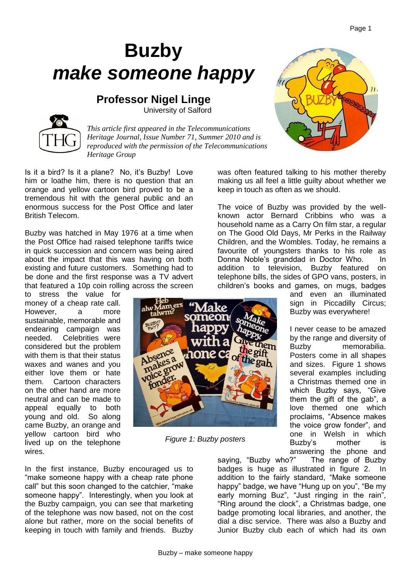## **Buzby** *make someone happy*

**Professor Nigel Linge** University of Salford

*This article first appeared in the Telecommunications Heritage Journal, Issue Number 71, Summer 2010 and is reproduced with the permission of the Telecommunications Heritage Group*

ers

Is it a bird? Is it a plane? No, it's Buzby! Love him or loathe him, there is no question that an orange and yellow cartoon bird proved to be a tremendous hit with the general public and an enormous success for the Post Office and later British Telecom.

Buzby was hatched in May 1976 at a time when the Post Office had raised telephone tariffs twice in quick succession and concern was being aired about the impact that this was having on both existing and future customers. Something had to be done and the first response was a TV advert that featured a 10p coin rolling across the screen

In the first instance, Buzby encouraged us to "make someone happy with a cheap rate phone call" but this soon changed to the catchier, "make someone happy". Interestingly, when you look at the Buzby campaign, you can see that marketing of the telephone was now based, not on the cost alone but rather, more on the social benefits of keeping in touch with family and friends. Buzby

to stress the value for money of a cheap rate call. However, a more sustainable, memorable and endearing campaign was needed. Celebrities were considered but the problem with them is that their status waxes and wanes and you either love them or hate them. Cartoon characters on the other hand are more neutral and can be made to appeal equally to both young and old. So along came Buzby, an orange and yellow cartoon bird who lived up on the telephone wires.

was often featured talking to his mother thereby making us all feel a little guilty about whether we keep in touch as often as we should.

The voice of Buzby was provided by the wellknown actor Bernard Cribbins who was a household name as a Carry On film star, a regular on The Good Old Days, Mr Perks in the Railway Children, and the Wombles. Today, he remains a favourite of youngsters thanks to his role as Donna Noble's granddad in Doctor Who. In addition to television, Buzby featured on telephone bills, the sides of GPO vans, posters, in children's books and games, on mugs, badges

and even an illuminated sign in Piccadilly Circus; Buzby was everywhere!

I never cease to be amazed by the range and diversity of Buzby memorabilia. Posters come in all shapes and sizes. Figure 1 shows several examples including a Christmas themed one in which Buzby says, "Give them the gift of the gab", a love themed one which proclaims, "Absence makes the voice grow fonder", and one in Welsh in which Buzby's mother is answering the phone and

saying, "Buzby who?" The range of Buzby badges is huge as illustrated in figure 2. In addition to the fairly standard, "Make someone happy" badge, we have "Hung up on you", "Be my early morning Buz", "Just ringing in the rain", "Ring around the clock", a Christmas badge, one badge promoting local libraries, and another, the dial a disc service. There was also a Buzby and Junior Buzby club each of which had its own

*Figure 1: Buzby posters*







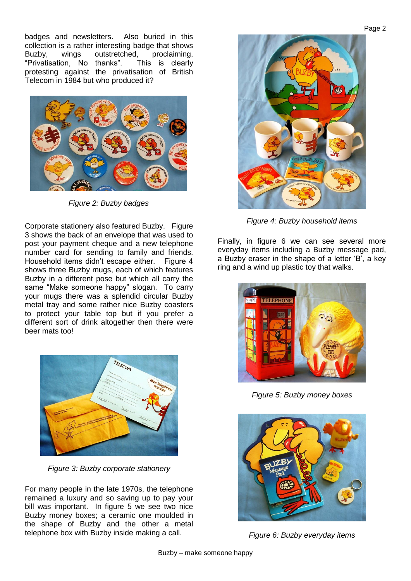badges and newsletters. Also buried in this collection is a rather interesting badge that shows Buzby, wings outstretched, proclaiming, "Privatisation, No thanks". This is clearly protesting against the privatisation of British Telecom in 1984 but who produced it?



*Figure 2: Buzby badges*

Corporate stationery also featured Buzby. Figure 3 shows the back of an envelope that was used to post your payment cheque and a new telephone number card for sending to family and friends. Household items didn't escape either. Figure 4 shows three Buzby mugs, each of which features Buzby in a different pose but which all carry the same "Make someone happy" slogan. To carry your mugs there was a splendid circular Buzby metal tray and some rather nice Buzby coasters to protect your table top but if you prefer a different sort of drink altogether then there were beer mats too!



*Figure 3: Buzby corporate stationery*

For many people in the late 1970s, the telephone remained a luxury and so saving up to pay your bill was important. In figure 5 we see two nice Buzby money boxes; a ceramic one moulded in the shape of Buzby and the other a metal telephone box with Buzby inside making a call.



*Figure 4: Buzby household items*

Finally, in figure 6 we can see several more everyday items including a Buzby message pad, a Buzby eraser in the shape of a letter 'B', a key ring and a wind up plastic toy that walks.



*Figure 5: Buzby money boxes*



*Figure 6: Buzby everyday items*